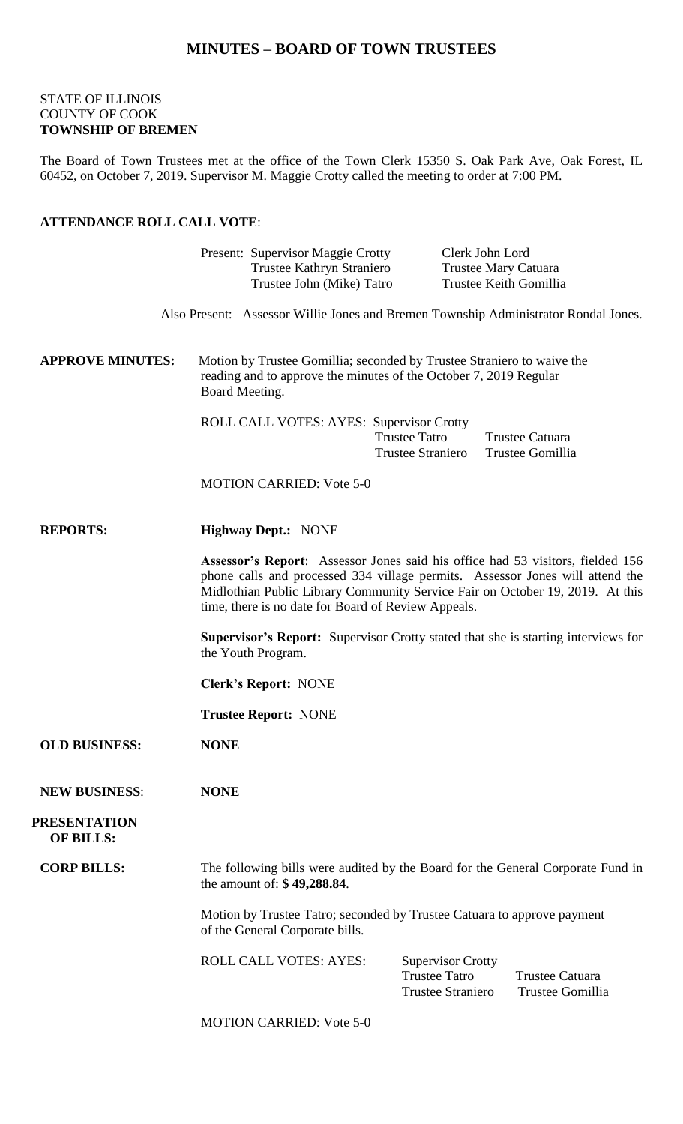## **MINUTES – BOARD OF TOWN TRUSTEES**

#### STATE OF ILLINOIS COUNTY OF COOK **TOWNSHIP OF BREMEN**

The Board of Town Trustees met at the office of the Town Clerk 15350 S. Oak Park Ave, Oak Forest, IL 60452, on October 7, 2019. Supervisor M. Maggie Crotty called the meeting to order at 7:00 PM.

### **ATTENDANCE ROLL CALL VOTE**:

|                                         | Present: Supervisor Maggie Crotty<br>Trustee Kathryn Straniero                                                                                                |                                                                                                                                                                                                                                                                                                         | Clerk John Lord<br><b>Trustee Mary Catuara</b> |                                     |  |
|-----------------------------------------|---------------------------------------------------------------------------------------------------------------------------------------------------------------|---------------------------------------------------------------------------------------------------------------------------------------------------------------------------------------------------------------------------------------------------------------------------------------------------------|------------------------------------------------|-------------------------------------|--|
|                                         | Trustee John (Mike) Tatro                                                                                                                                     |                                                                                                                                                                                                                                                                                                         | Trustee Keith Gomillia                         |                                     |  |
|                                         | Also Present: Assessor Willie Jones and Bremen Township Administrator Rondal Jones.                                                                           |                                                                                                                                                                                                                                                                                                         |                                                |                                     |  |
| <b>APPROVE MINUTES:</b>                 | Motion by Trustee Gomillia; seconded by Trustee Straniero to waive the<br>reading and to approve the minutes of the October 7, 2019 Regular<br>Board Meeting. |                                                                                                                                                                                                                                                                                                         |                                                |                                     |  |
|                                         | ROLL CALL VOTES: AYES: Supervisor Crotty                                                                                                                      | <b>Trustee Tatro</b><br><b>Trustee Straniero</b>                                                                                                                                                                                                                                                        | Trustee Catuara                                | Trustee Gomillia                    |  |
|                                         | <b>MOTION CARRIED: Vote 5-0</b>                                                                                                                               |                                                                                                                                                                                                                                                                                                         |                                                |                                     |  |
| <b>REPORTS:</b>                         | <b>Highway Dept.: NONE</b>                                                                                                                                    |                                                                                                                                                                                                                                                                                                         |                                                |                                     |  |
|                                         |                                                                                                                                                               | Assessor's Report: Assessor Jones said his office had 53 visitors, fielded 156<br>phone calls and processed 334 village permits. Assessor Jones will attend the<br>Midlothian Public Library Community Service Fair on October 19, 2019. At this<br>time, there is no date for Board of Review Appeals. |                                                |                                     |  |
|                                         | <b>Supervisor's Report:</b> Supervisor Crotty stated that she is starting interviews for<br>the Youth Program.                                                |                                                                                                                                                                                                                                                                                                         |                                                |                                     |  |
|                                         | <b>Clerk's Report: NONE</b>                                                                                                                                   |                                                                                                                                                                                                                                                                                                         |                                                |                                     |  |
|                                         | <b>Trustee Report: NONE</b>                                                                                                                                   |                                                                                                                                                                                                                                                                                                         |                                                |                                     |  |
| <b>OLD BUSINESS:</b>                    | <b>NONE</b>                                                                                                                                                   |                                                                                                                                                                                                                                                                                                         |                                                |                                     |  |
| <b>NEW BUSINESS:</b>                    | <b>NONE</b>                                                                                                                                                   |                                                                                                                                                                                                                                                                                                         |                                                |                                     |  |
| <b>PRESENTATION</b><br><b>OF BILLS:</b> |                                                                                                                                                               |                                                                                                                                                                                                                                                                                                         |                                                |                                     |  |
| <b>CORP BILLS:</b>                      | The following bills were audited by the Board for the General Corporate Fund in<br>the amount of: \$49,288.84.                                                |                                                                                                                                                                                                                                                                                                         |                                                |                                     |  |
|                                         | Motion by Trustee Tatro; seconded by Trustee Catuara to approve payment<br>of the General Corporate bills.                                                    |                                                                                                                                                                                                                                                                                                         |                                                |                                     |  |
|                                         | <b>ROLL CALL VOTES: AYES:</b>                                                                                                                                 | <b>Supervisor Crotty</b><br><b>Trustee Tatro</b><br><b>Trustee Straniero</b>                                                                                                                                                                                                                            |                                                | Trustee Catuara<br>Trustee Gomillia |  |
|                                         | <b>MOTION CARRIED: Vote 5-0</b>                                                                                                                               |                                                                                                                                                                                                                                                                                                         |                                                |                                     |  |